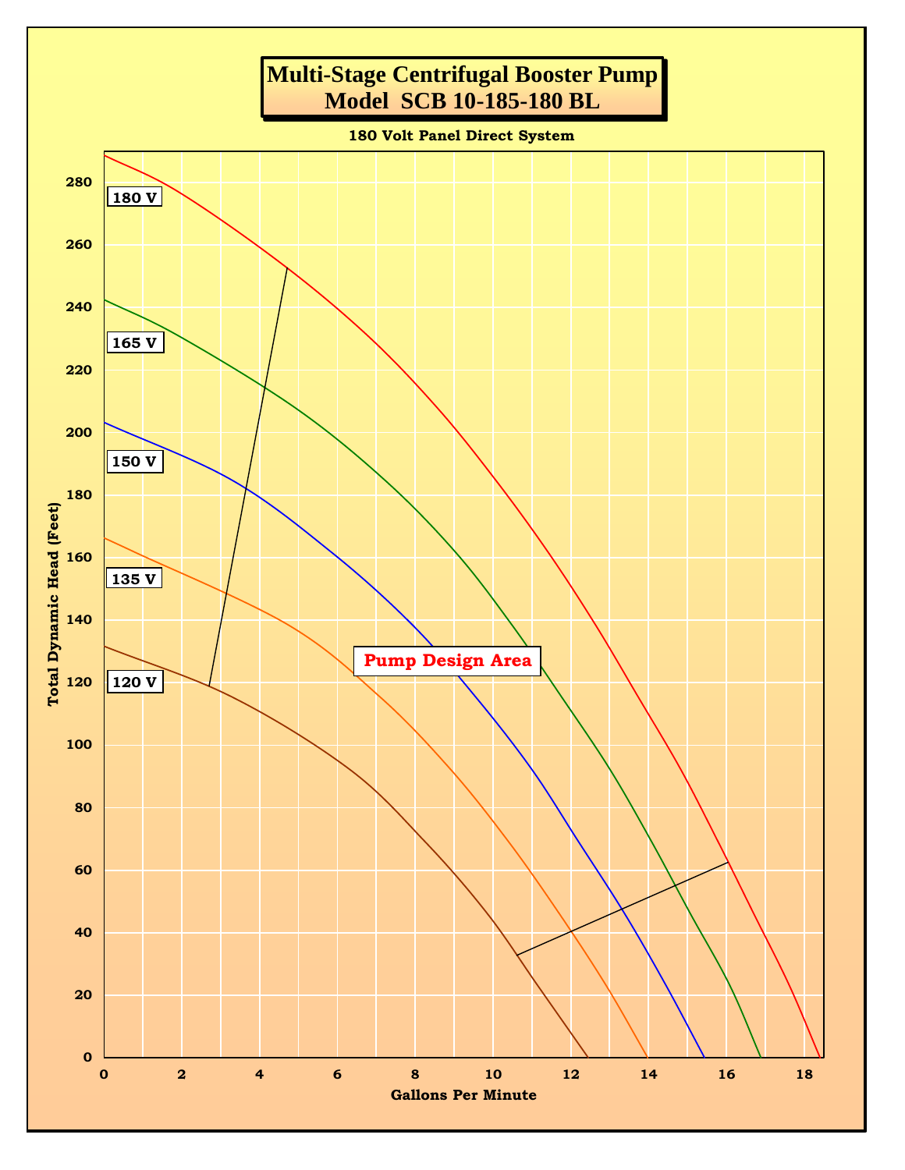